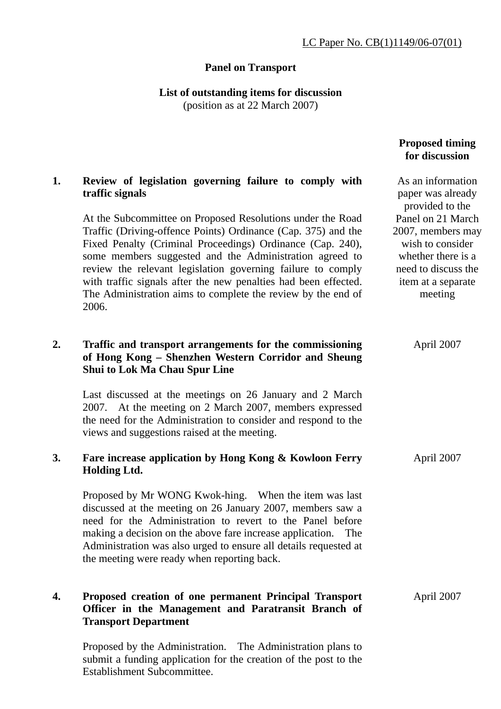## **Panel on Transport**

**List of outstanding items for discussion** 

(position as at 22 March 2007)

|    |                                                                                                                                                                                                                                                                                                                                                                                                                                                                 | <b>Proposed timing</b><br>for discussion                                                                                                 |
|----|-----------------------------------------------------------------------------------------------------------------------------------------------------------------------------------------------------------------------------------------------------------------------------------------------------------------------------------------------------------------------------------------------------------------------------------------------------------------|------------------------------------------------------------------------------------------------------------------------------------------|
| 1. | Review of legislation governing failure to comply with<br>traffic signals                                                                                                                                                                                                                                                                                                                                                                                       | As an information<br>paper was already<br>provided to the                                                                                |
|    | At the Subcommittee on Proposed Resolutions under the Road<br>Traffic (Driving-offence Points) Ordinance (Cap. 375) and the<br>Fixed Penalty (Criminal Proceedings) Ordinance (Cap. 240),<br>some members suggested and the Administration agreed to<br>review the relevant legislation governing failure to comply<br>with traffic signals after the new penalties had been effected.<br>The Administration aims to complete the review by the end of<br>2006. | Panel on 21 March<br>2007, members may<br>wish to consider<br>whether there is a<br>need to discuss the<br>item at a separate<br>meeting |
| 2. | Traffic and transport arrangements for the commissioning<br>of Hong Kong - Shenzhen Western Corridor and Sheung<br>Shui to Lok Ma Chau Spur Line                                                                                                                                                                                                                                                                                                                | April 2007                                                                                                                               |
|    | Last discussed at the meetings on 26 January and 2 March<br>2007. At the meeting on 2 March 2007, members expressed<br>the need for the Administration to consider and respond to the<br>views and suggestions raised at the meeting.                                                                                                                                                                                                                           |                                                                                                                                          |
| 3. | Fare increase application by Hong Kong & Kowloon Ferry<br><b>Holding Ltd.</b>                                                                                                                                                                                                                                                                                                                                                                                   | April 2007                                                                                                                               |
|    | Proposed by Mr WONG Kwok-hing. When the item was last<br>discussed at the meeting on 26 January 2007, members saw a<br>need for the Administration to revert to the Panel before<br>making a decision on the above fare increase application. The<br>Administration was also urged to ensure all details requested at<br>the meeting were ready when reporting back.                                                                                            |                                                                                                                                          |
| 4. | Proposed creation of one permanent Principal Transport<br>Officer in the Management and Paratransit Branch of<br><b>Transport Department</b>                                                                                                                                                                                                                                                                                                                    | April 2007                                                                                                                               |

Proposed by the Administration. The Administration plans to submit a funding application for the creation of the post to the Establishment Subcommittee.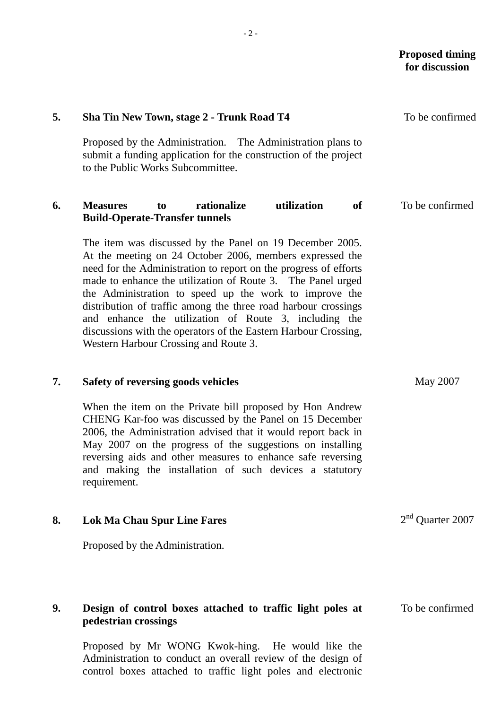# **5. Sha Tin New Town, stage 2 - Trunk Road T4**  Proposed by the Administration. The Administration plans to submit a funding application for the construction of the project to the Public Works Subcommittee. To be confirmed **6. Measures to rationalize utilization of Build-Operate-Transfer tunnels**  The item was discussed by the Panel on 19 December 2005. At the meeting on 24 October 2006, members expressed the need for the Administration to report on the progress of efforts made to enhance the utilization of Route 3. The Panel urged the Administration to speed up the work to improve the distribution of traffic among the three road harbour crossings and enhance the utilization of Route 3, including the discussions with the operators of the Eastern Harbour Crossing, Western Harbour Crossing and Route 3. To be confirmed **7. Safety of reversing goods vehicles**  When the item on the Private bill proposed by Hon Andrew CHENG Kar-foo was discussed by the Panel on 15 December 2006, the Administration advised that it would report back in May 2007 on the progress of the suggestions on installing reversing aids and other measures to enhance safe reversing and making the installation of such devices a statutory requirement. May 2007 **8. Lok Ma Chau Spur Line Fares**  Proposed by the Administration. 2<sup>nd</sup> Ouarter 2007 **9. Design of control boxes attached to traffic light poles at pedestrian crossings**  To be confirmed

Proposed by Mr WONG Kwok-hing. He would like the Administration to conduct an overall review of the design of control boxes attached to traffic light poles and electronic

- 2 -

 **Proposed timing for discussion**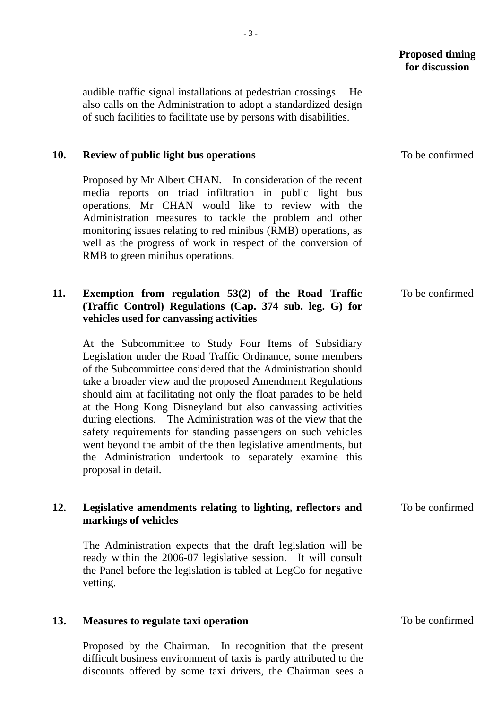#### **Proposed timing for discussion**

audible traffic signal installations at pedestrian crossings. He also calls on the Administration to adopt a standardized design of such facilities to facilitate use by persons with disabilities.

#### **10. Review of public light bus operations**

Proposed by Mr Albert CHAN. In consideration of the recent media reports on triad infiltration in public light bus operations, Mr CHAN would like to review with the Administration measures to tackle the problem and other monitoring issues relating to red minibus (RMB) operations, as well as the progress of work in respect of the conversion of RMB to green minibus operations.

## **11. Exemption from regulation 53(2) of the Road Traffic (Traffic Control) Regulations (Cap. 374 sub. leg. G) for vehicles used for canvassing activities**

At the Subcommittee to Study Four Items of Subsidiary Legislation under the Road Traffic Ordinance, some members of the Subcommittee considered that the Administration should take a broader view and the proposed Amendment Regulations should aim at facilitating not only the float parades to be held at the Hong Kong Disneyland but also canvassing activities during elections. The Administration was of the view that the safety requirements for standing passengers on such vehicles went beyond the ambit of the then legislative amendments, but the Administration undertook to separately examine this proposal in detail.

#### **12. Legislative amendments relating to lighting, reflectors and markings of vehicles**

The Administration expects that the draft legislation will be ready within the 2006-07 legislative session. It will consult the Panel before the legislation is tabled at LegCo for negative vetting.

#### **13. Measures to regulate taxi operation**

Proposed by the Chairman. In recognition that the present difficult business environment of taxis is partly attributed to the discounts offered by some taxi drivers, the Chairman sees a To be confirmed

To be confirmed

To be confirmed

To be confirmed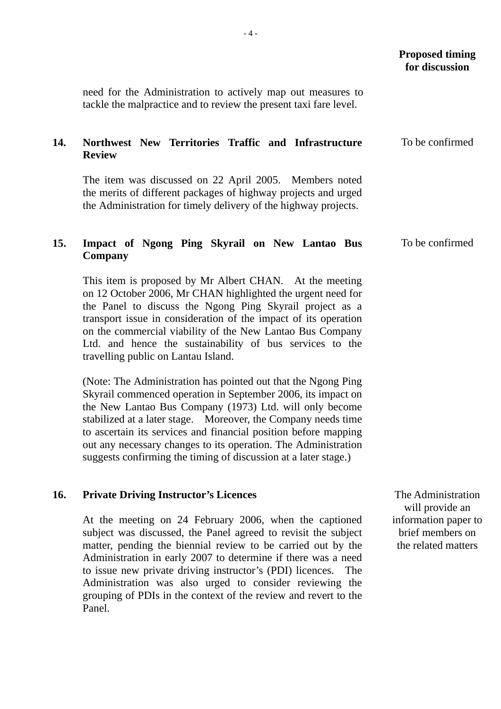|     |                                                                                                                                                                                                                                                                                                                                                                                                                                                                   | <b>Proposed timing</b><br>for discussion |
|-----|-------------------------------------------------------------------------------------------------------------------------------------------------------------------------------------------------------------------------------------------------------------------------------------------------------------------------------------------------------------------------------------------------------------------------------------------------------------------|------------------------------------------|
|     | need for the Administration to actively map out measures to<br>tackle the malpractice and to review the present taxi fare level.                                                                                                                                                                                                                                                                                                                                  |                                          |
| 14. | Northwest New Territories Traffic and Infrastructure<br><b>Review</b>                                                                                                                                                                                                                                                                                                                                                                                             | To be confirmed                          |
|     | The item was discussed on 22 April 2005. Members noted<br>the merits of different packages of highway projects and urged<br>the Administration for timely delivery of the highway projects.                                                                                                                                                                                                                                                                       |                                          |
| 15. | Impact of Ngong Ping Skyrail on New Lantao Bus<br><b>Company</b>                                                                                                                                                                                                                                                                                                                                                                                                  | To be confirmed                          |
|     | This item is proposed by Mr Albert CHAN. At the meeting<br>on 12 October 2006, Mr CHAN highlighted the urgent need for<br>the Panel to discuss the Ngong Ping Skyrail project as a<br>transport issue in consideration of the impact of its operation<br>on the commercial viability of the New Lantao Bus Company<br>Ltd. and hence the sustainability of bus services to the<br>travelling public on Lantau Island.                                             |                                          |
|     | (Note: The Administration has pointed out that the Ngong Ping<br>Skyrail commenced operation in September 2006, its impact on<br>the New Lantao Bus Company (1973) Ltd. will only become<br>stabilized at a later stage. Moreover, the Company needs time<br>to ascertain its services and financial position before mapping<br>out any necessary changes to its operation. The Administration<br>suggests confirming the timing of discussion at a later stage.) |                                          |
| 16. | <b>Private Driving Instructor's Licences</b>                                                                                                                                                                                                                                                                                                                                                                                                                      | The Administration<br>will provide an    |
|     | At the meeting on 24 February 2006, when the captioned<br>subject was discussed, the Panel agreed to revisit the subject                                                                                                                                                                                                                                                                                                                                          | information paper to<br>brief members on |

matter, pending the biennial review to be carried out by the Administration in early 2007 to determine if there was a need to issue new private driving instructor's (PDI) licences. The Administration was also urged to consider reviewing the grouping of PDIs in the context of the review and revert to the the related matters

Panel.